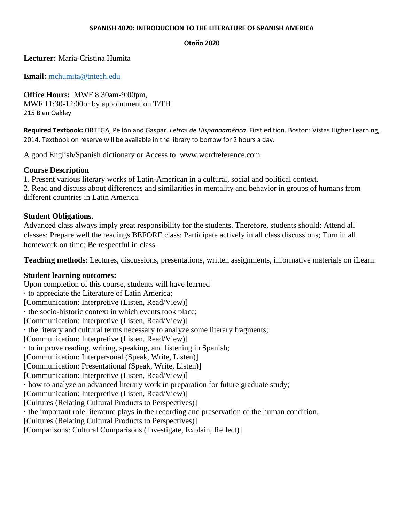#### **SPANISH 4020: INTRODUCTION TO THE LITERATURE OF SPANISH AMERICA**

#### **Otoño 2020**

# **Lecturer:** Maria-Cristina Humita

**Email:** [mchumita@tntech.edu](mailto:mchumita@tntech.edu)

**Office Hours:** MWF 8:30am-9:00pm, MWF 11:30-12:00or by appointment on T/TH 215 B en Oakley

**Required Textbook:** ORTEGA, Pellón and Gaspar. *Letras de Hispanoamérica*. First edition. Boston: Vistas Higher Learning, 2014. Textbook on reserve will be available in the library to borrow for 2 hours a day.

A good English/Spanish dictionary or Access to www.wordreference.com

# **Course Description**

1. Present various literary works of Latin-American in a cultural, social and political context. 2. Read and discuss about differences and similarities in mentality and behavior in groups of humans from different countries in Latin America.

## **Student Obligations.**

Advanced class always imply great responsibility for the students. Therefore, students should: Attend all classes; Prepare well the readings BEFORE class; Participate actively in all class discussions; Turn in all homework on time; Be respectful in class.

**Teaching methods**: Lectures, discussions, presentations, written assignments, informative materials on iLearn.

## **Student learning outcomes:**

Upon completion of this course, students will have learned · to appreciate the Literature of Latin America; [Communication: Interpretive (Listen, Read/View)] · the socio-historic context in which events took place; [Communication: Interpretive (Listen, Read/View)] · the literary and cultural terms necessary to analyze some literary fragments; [Communication: Interpretive (Listen, Read/View)] · to improve reading, writing, speaking, and listening in Spanish; [Communication: Interpersonal (Speak, Write, Listen)] [Communication: Presentational (Speak, Write, Listen)] [Communication: Interpretive (Listen, Read/View)] · how to analyze an advanced literary work in preparation for future graduate study; [Communication: Interpretive (Listen, Read/View)] [Cultures (Relating Cultural Products to Perspectives)] · the important role literature plays in the recording and preservation of the human condition. [Cultures (Relating Cultural Products to Perspectives)] [Comparisons: Cultural Comparisons (Investigate, Explain, Reflect)]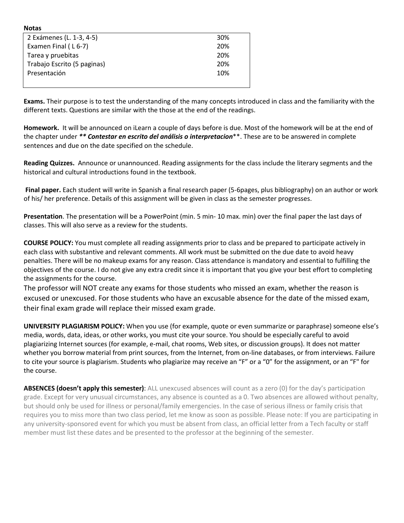| nulas                       |     |
|-----------------------------|-----|
| 2 Exámenes (L. 1-3, 4-5)    | 30% |
| Examen Final (L6-7)         | 20% |
| Tarea y pruebitas           | 20% |
| Trabajo Escrito (5 paginas) | 20% |
| Presentación                | 10% |
|                             |     |

**Notas**

**Exams.** Their purpose is to test the understanding of the many concepts introduced in class and the familiarity with the different texts. Questions are similar with the those at the end of the readings.

**Homework.** It will be announced on iLearn a couple of days before is due. Most of the homework will be at the end of the chapter under *\*\* Contestar en escrito del análisis o interpretacion*\*\*. These are to be answered in complete sentences and due on the date specified on the schedule.

**Reading Quizzes.** Announce or unannounced. Reading assignments for the class include the literary segments and the historical and cultural introductions found in the textbook.

**Final paper.** Each student will write in Spanish a final research paper (5-6pages, plus bibliography) on an author or work of his/ her preference. Details of this assignment will be given in class as the semester progresses.

**Presentation**. The presentation will be a PowerPoint (min. 5 min- 10 max. min) over the final paper the last days of classes. This will also serve as a review for the students.

**COURSE POLICY:** You must complete all reading assignments prior to class and be prepared to participate actively in each class with substantive and relevant comments. All work must be submitted on the due date to avoid heavy penalties. There will be no makeup exams for any reason. Class attendance is mandatory and essential to fulfilling the objectives of the course. I do not give any extra credit since it is important that you give your best effort to completing the assignments for the course.

The professor will NOT create any exams for those students who missed an exam, whether the reason is excused or unexcused. For those students who have an excusable absence for the date of the missed exam, their final exam grade will replace their missed exam grade.

**UNIVERSITY PLAGIARISM POLICY:** When you use (for example, quote or even summarize or paraphrase) someone else's media, words, data, ideas, or other works, you must cite your source. You should be especially careful to avoid plagiarizing Internet sources (for example, e-mail, chat rooms, Web sites, or discussion groups). It does not matter whether you borrow material from print sources, from the Internet, from on-line databases, or from interviews. Failure to cite your source is plagiarism. Students who plagiarize may receive an "F" or a "0" for the assignment, or an "F" for the course.

**ABSENCES (doesn't apply this semester)**: ALL unexcused absences will count as a zero (0) for the day's participation grade. Except for very unusual circumstances, any absence is counted as a 0. Two absences are allowed without penalty, but should only be used for illness or personal/family emergencies. In the case of serious illness or family crisis that requires you to miss more than two class period, let me know as soon as possible. Please note: If you are participating in any university-sponsored event for which you must be absent from class, an official letter from a Tech faculty or staff member must list these dates and be presented to the professor at the beginning of the semester.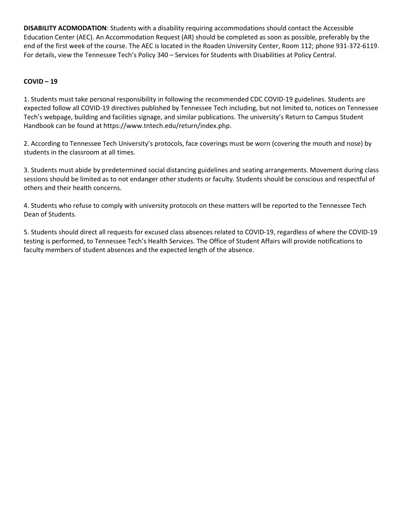**DISABILITY ACOMODATION**: Students with a disability requiring accommodations should contact the Accessible Education Center (AEC). An Accommodation Request (AR) should be completed as soon as possible, preferably by the end of the first week of the course. The AEC is located in the Roaden University Center, Room 112; phone 931-372-6119. For details, view the Tennessee Tech's Policy 340 – Services for Students with Disabilities at Policy Central.

### **COVID – 19**

1. Students must take personal responsibility in following the recommended CDC COVID-19 guidelines. Students are expected follow all COVID-19 directives published by Tennessee Tech including, but not limited to, notices on Tennessee Tech's webpage, building and facilities signage, and similar publications. The university's Return to Campus Student Handbook can be found at https://www.tntech.edu/return/index.php.

2. According to Tennessee Tech University's protocols, face coverings must be worn (covering the mouth and nose) by students in the classroom at all times.

3. Students must abide by predetermined social distancing guidelines and seating arrangements. Movement during class sessions should be limited as to not endanger other students or faculty. Students should be conscious and respectful of others and their health concerns.

4. Students who refuse to comply with university protocols on these matters will be reported to the Tennessee Tech Dean of Students.

5. Students should direct all requests for excused class absences related to COVID-19, regardless of where the COVID-19 testing is performed, to Tennessee Tech's Health Services. The Office of Student Affairs will provide notifications to faculty members of student absences and the expected length of the absence.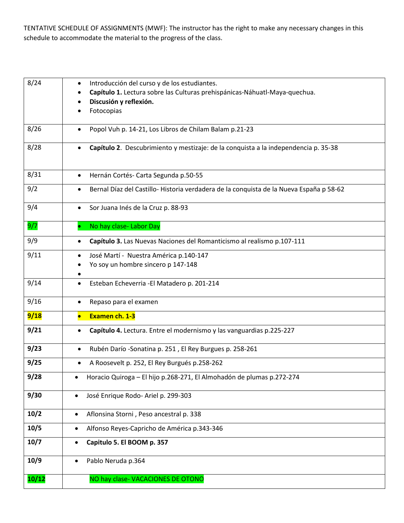TENTATIVE SCHEDULE OF ASSIGNMENTS (MWF): The instructor has the right to make any necessary changes in this schedule to accommodate the material to the progress of the class.

| 8/24  | Introducción del curso y de los estudiantes.<br>$\bullet$<br>Capítulo 1. Lectura sobre las Culturas prehispánicas-Náhuatl-Maya-quechua.<br>Discusión y reflexión.<br>Fotocopias |
|-------|---------------------------------------------------------------------------------------------------------------------------------------------------------------------------------|
| 8/26  | Popol Vuh p. 14-21, Los Libros de Chilam Balam p.21-23<br>$\bullet$                                                                                                             |
| 8/28  | Capítulo 2. Descubrimiento y mestizaje: de la conquista a la independencia p. 35-38<br>$\bullet$                                                                                |
| 8/31  | Hernán Cortés- Carta Segunda p.50-55<br>$\bullet$                                                                                                                               |
| 9/2   | Bernal Díaz del Castillo-Historia verdadera de la conquista de la Nueva España p 58-62<br>$\bullet$                                                                             |
| 9/4   | Sor Juana Inés de la Cruz p. 88-93<br>$\bullet$                                                                                                                                 |
| 9/7   | No hay clase- Labor Day                                                                                                                                                         |
| 9/9   | Capítulo 3. Las Nuevas Naciones del Romanticismo al realismo p.107-111<br>$\bullet$                                                                                             |
| 9/11  | José Martí - Nuestra América p.140-147<br>$\bullet$<br>Yo soy un hombre sincero p 147-148                                                                                       |
| 9/14  | Esteban Echeverria - El Matadero p. 201-214<br>$\bullet$                                                                                                                        |
| 9/16  | Repaso para el examen<br>$\bullet$                                                                                                                                              |
| 9/18  | Examen ch. 1-3<br>$\bullet$                                                                                                                                                     |
| 9/21  | Capítulo 4. Lectura. Entre el modernismo y las vanguardias p.225-227<br>$\bullet$                                                                                               |
| 9/23  | Rubén Darío -Sonatina p. 251, El Rey Burgues p. 258-261<br>$\bullet$                                                                                                            |
| 9/25  | A Roosevelt p. 252, El Rey Burgués p.258-262<br>٠                                                                                                                               |
| 9/28  | Horacio Quiroga - El hijo p.268-271, El Almohadón de plumas p.272-274<br>$\bullet$                                                                                              |
| 9/30  | José Enrique Rodo- Ariel p. 299-303<br>$\bullet$                                                                                                                                |
| 10/2  | Aflonsina Storni, Peso ancestral p. 338<br>$\bullet$                                                                                                                            |
| 10/5  | Alfonso Reyes-Capricho de América p.343-346<br>$\bullet$                                                                                                                        |
| 10/7  | Capitulo 5. El BOOM p. 357<br>$\bullet$                                                                                                                                         |
| 10/9  | Pablo Neruda p.364<br>$\bullet$                                                                                                                                                 |
| 10/12 | NO hay clase-VACACIONES DE OTONO                                                                                                                                                |